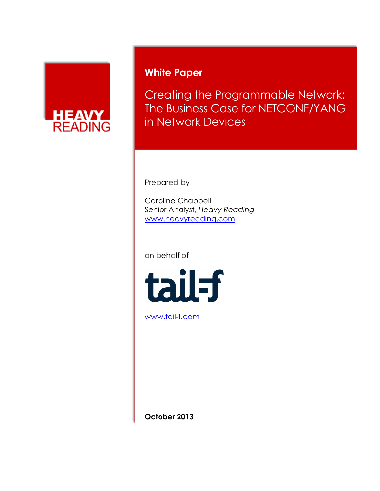

## **White Paper**

Creating the Programmable Network: The Business Case for NETCONF/YANG in Network Devices

Prepared by

Caroline Chappell Senior Analyst, *Heavy Reading* [www.heavyreading.com](http://www.heavyreading.com/)

on behalf of



[www.tail-f.com](http://www.tail-f.com/)

**October 2013**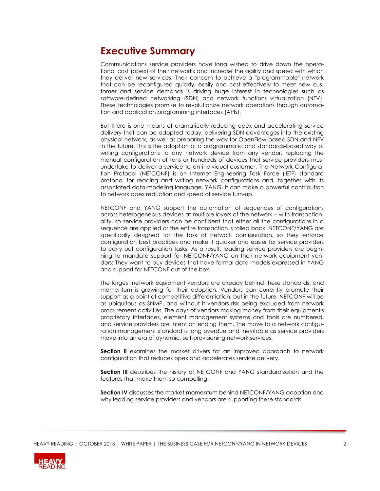## **Executive Summary**

Communications service providers have long wished to drive down the operational cost (opex) of their networks and increase the agility and speed with which they deliver new services. Their concern to achieve a "programmable" network that can be reconfigured quickly, easily and cost-effectively to meet new customer and service demands is driving huge interest in technologies such as software-defined networking (SDN) and network functions virtualization (NFV). These technologies promise to revolutionize network operations through automation and application programming interfaces (APIs).

But there is one means of dramatically reducing opex and accelerating service delivery that can be adopted today, delivering SDN advantages into the existing physical network, as well as preparing the way for OpenFlow-based SDN and NFV in the future. This is the adoption of a programmatic and standards-based way of writing configurations to any network device from any vendor, replacing the manual configuration of tens or hundreds of devices that service providers must undertake to deliver a service to an individual customer. The Network Configuration Protocol (NETCONF) is an Internet Engineering Task Force (IETF) standard protocol for reading and writing network configurations and, together with its associated data-modeling language, YANG, it can make a powerful contribution to network opex reduction and speed of service turn-up.

NETCONF and YANG support the automation of sequences of configurations across heterogeneous devices at multiple layers of the network – with transactionality, so service providers can be confident that either all the configurations in a sequence are applied or the entire transaction is rolled back. NETCONF/YANG are specifically designed for the task of network configuration, so they enforce configuration best practices and make it quicker and easier for service providers to carry out configuration tasks. As a result, leading service providers are beginning to mandate support for NETCONF/YANG on their network equipment vendors: They want to buy devices that have formal data models expressed in YANG and support for NETCONF out of the box.

The largest network equipment vendors are already behind these standards, and momentum is growing for their adoption. Vendors can currently promote their support as a point of competitive differentiation, but in the future, NETCONF will be as ubiquitous as SNMP, and without it vendors risk being excluded from network procurement activities. The days of vendors making money from their equipment's proprietary interfaces, element management systems and tools are numbered, and service providers are intent on ending them. The move to a network configuration management standard is long overdue and inevitable as service providers move into an era of dynamic, self-provisioning network services.

**Section II** examines the market drivers for an improved approach to network configuration that reduces opex and accelerates service delivery.

**Section III** describes the history of NETCONF and YANG standardization and the features that make them so compelling.

**Section IV** discusses the market momentum behind NETCONF/YANG adoption and why leading service providers and vendors are supporting these standards.

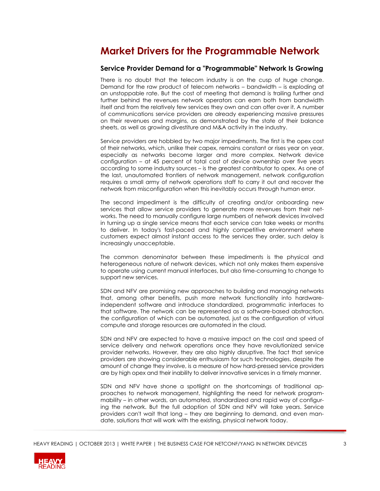## **Market Drivers for the Programmable Network**

### **Service Provider Demand for a "Programmable" Network Is Growing**

There is no doubt that the telecom industry is on the cusp of huge change. Demand for the raw product of telecom networks – bandwidth – is exploding at an unstoppable rate. But the cost of meeting that demand is trailing further and further behind the revenues network operators can earn both from bandwidth itself and from the relatively few services they own and can offer over it. A number of communications service providers are already experiencing massive pressures on their revenues and margins, as demonstrated by the state of their balance sheets, as well as growing divestiture and M&A activity in the industry.

Service providers are hobbled by two major impediments. The first is the opex cost of their networks, which, unlike their capex, remains constant or rises year on year, especially as networks become larger and more complex. Network device configuration – at 45 percent of total cost of device ownership over five years according to some industry sources – is the greatest contributor to opex. As one of the last, unautomated frontiers of network management, network configuration requires a small army of network operations staff to carry it out and recover the network from misconfiguration when this inevitably occurs through human error.

The second impediment is the difficulty of creating and/or onboarding new services that allow service providers to generate more revenues from their networks. The need to manually configure large numbers of network devices involved in turning up a single service means that each service can take weeks or months to deliver. In today's fast-paced and highly competitive environment where customers expect almost instant access to the services they order, such delay is increasingly unacceptable.

The common denominator between these impediments is the physical and heterogeneous nature of network devices, which not only makes them expensive to operate using current manual interfaces, but also time-consuming to change to support new services.

SDN and NFV are promising new approaches to building and managing networks that, among other benefits, push more network functionality into hardwareindependent software and introduce standardized, programmatic interfaces to that software. The network can be represented as a software-based abstraction, the configuration of which can be automated, just as the configuration of virtual compute and storage resources are automated in the cloud.

SDN and NFV are expected to have a massive impact on the cost and speed of service delivery and network operations once they have revolutionized service provider networks. However, they are also highly disruptive. The fact that service providers are showing considerable enthusiasm for such technologies, despite the amount of change they involve, is a measure of how hard-pressed service providers are by high opex and their inability to deliver innovative services in a timely manner.

SDN and NFV have shone a spotlight on the shortcomings of traditional approaches to network management, highlighting the need for network programmability – in other words, an automated, standardized and rapid way of configuring the network. But the full adoption of SDN and NFV will take years. Service providers can't wait that long – they are beginning to demand, and even mandate, solutions that will work with the existing, physical network today.

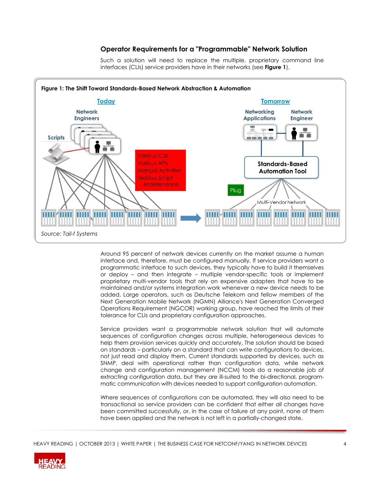### **Operator Requirements for a "Programmable" Network Solution**



Such a solution will need to replace the multiple, proprietary command line interfaces (CLIs) service providers have in their networks (see **Figure 1**).

Around 95 percent of network devices currently on the market assume a human interface and, therefore, must be configured manually. If service providers want a programmatic interface to such devices, they typically have to build it themselves or deploy – and then integrate – multiple vendor-specific tools or implement proprietary multi-vendor tools that rely on expensive adapters that have to be maintained and/or systems integration work whenever a new device needs to be added. Large operators, such as Deutsche Telekom and fellow members of the Next Generation Mobile Network (NGMN) Alliance's Next Generation Converged Operations Requirement (NGCOR) working group, have reached the limits of their tolerance for CLIs and proprietary configuration approaches.

Service providers want a programmable network solution that will automate sequences of configuration changes across multiple, heterogeneous devices to help them provision services quickly and accurately. The solution should be based on standards – particularly on a standard that can write configurations to devices, not just read and display them. Current standards supported by devices, such as SNMP, deal with operational rather than configuration data, while network change and configuration management (NCCM) tools do a reasonable job of extracting configuration data, but they are ill-suited to the bi-directional, programmatic communication with devices needed to support configuration automation.

Where sequences of configurations can be automated, they will also need to be transactional so service providers can be confident that either all changes have been committed successfully, or, in the case of failure at any point, none of them have been applied and the network is not left in a partially-changed state.

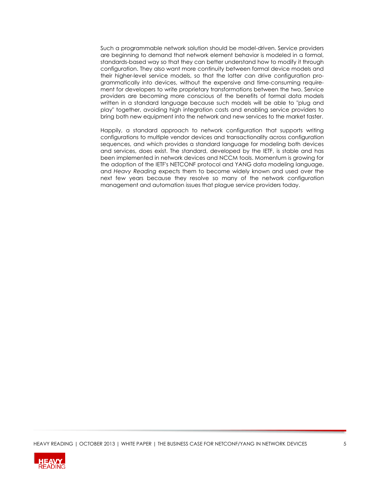Such a programmable network solution should be model-driven. Service providers are beginning to demand that network element behavior is modeled in a formal, standards-based way so that they can better understand how to modify it through configuration. They also want more continuity between formal device models and their higher-level service models, so that the latter can drive configuration programmatically into devices, without the expensive and time-consuming requirement for developers to write proprietary transformations between the two. Service providers are becoming more conscious of the benefits of formal data models written in a standard language because such models will be able to "plug and play" together, avoiding high integration costs and enabling service providers to bring both new equipment into the network and new services to the market faster.

Happily, a standard approach to network configuration that supports writing configurations to multiple vendor devices and transactionality across configuration sequences, and which provides a standard language for modeling both devices and services, does exist. The standard, developed by the IETF, is stable and has been implemented in network devices and NCCM tools. Momentum is growing for the adoption of the IETF's NETCONF protocol and YANG data modeling language, and *Heavy Reading* expects them to become widely known and used over the next few years because they resolve so many of the network configuration management and automation issues that plague service providers today.

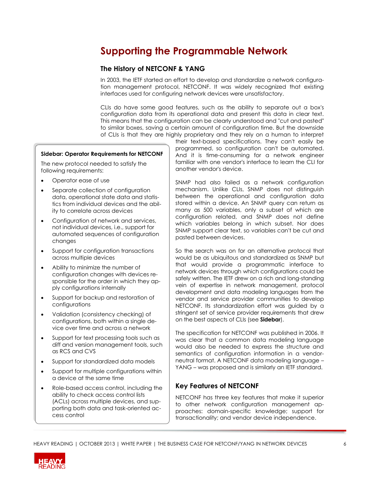# **Supporting the Programmable Network**

## **The History of NETCONF & YANG**

In 2003, the IETF started an effort to develop and standardize a network configuration management protocol, NETCONF. It was widely recognized that existing interfaces used for configuring network devices were unsatisfactory.

CLIs do have some good features, such as the ability to separate out a box's configuration data from its operational data and present this data in clear text. This means that the configuration can be clearly understood and "cut and pasted" to similar boxes, saving a certain amount of configuration time. But the downside of CLIs is that they are highly proprietary and they rely on a human to interpret

### **Sidebar: Operator Requirements for NETCONF**

The new protocol needed to satisfy the following requirements:

- Operator ease of use
- Separate collection of configuration data, operational state data and statistics from individual devices and the ability to correlate across devices
- Configuration of network and services, not individual devices, i.e., support for automated sequences of configuration changes
- Support for configuration transactions across multiple devices
- Ability to minimize the number of configuration changes with devices responsible for the order in which they apply configurations internally
- Support for backup and restoration of configurations
- Validation (consistency checking) of configurations, both within a single device over time and across a network
- Support for text processing tools such as diff and version management tools, such as RCS and CVS
- Support for standardized data models
- Support for multiple configurations within a device at the same time
- Role-based access control, including the ability to check access control lists (ACLs) across multiple devices, and supporting both data and task-oriented access control

their text-based specifications. They can't easily be programmed, so configuration can't be automated. And it is time-consuming for a network engineer familiar with one vendor's interface to learn the CLI for another vendor's device.

SNMP had also failed as a network configuration mechanism. Unlike CLIs, SNMP does not distinguish between the operational and configuration data stored within a device. An SNMP query can return as many as 500 variables, only a subset of which are configuration related, and SNMP does not define which variables belong in which subset. Nor does SNMP support clear text, so variables can't be cut and pasted between devices.

So the search was on for an alternative protocol that would be as ubiquitous and standardized as SNMP but that would provide a programmatic interface to network devices through which configurations could be safely written. The IETF drew on a rich and long-standing vein of expertise in network management, protocol development and data modeling languages from the vendor and service provider communities to develop NETCONF. Its standardization effort was guided by a stringent set of service provider requirements that drew on the best aspects of CLIs (see **Sidebar**).

The specification for NETCONF was published in 2006. It was clear that a common data modeling language would also be needed to express the structure and semantics of configuration information in a vendorneutral format. A NETCONF data modeling language – YANG – was proposed and is similarly an IETF standard.

## **Key Features of NETCONF**

NETCONF has three key features that make it superior to other network configuration management approaches: domain-specific knowledge; support for transactionality; and vendor device independence.

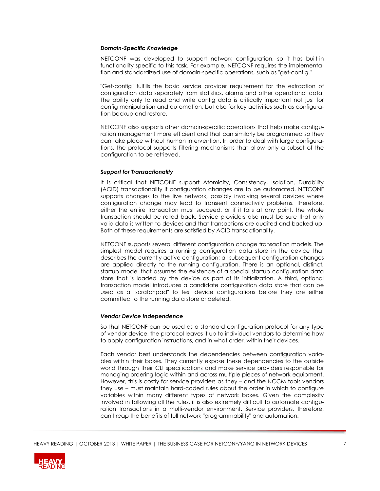#### *Domain-Specific Knowledge*

NETCONF was developed to support network configuration, so it has built-in functionality specific to this task. For example, NETCONF requires the implementation and standardized use of domain-specific operations, such as "get-config."

"Get-config" fulfills the basic service provider requirement for the extraction of configuration data separately from statistics, alarms and other operational data. The ability only to read and write config data is critically important not just for config manipulation and automation, but also for key activities such as configuration backup and restore.

NETCONF also supports other domain-specific operations that help make configuration management more efficient and that can similarly be programmed so they can take place without human intervention. In order to deal with large configurations, the protocol supports filtering mechanisms that allow only a subset of the configuration to be retrieved.

#### *Support for Transactionality*

It is critical that NETCONF support Atomicity, Consistency, Isolation, Durability (ACID) transactionality if configuration changes are to be automated. NETCONF supports changes to the live network, possibly involving several devices where configuration change may lead to transient connectivity problems. Therefore, either the entire transaction must succeed, or if it fails at any point, the whole transaction should be rolled back. Service providers also must be sure that only valid data is written to devices and that transactions are audited and backed up. Both of these requirements are satisfied by ACID transactionality.

NETCONF supports several different configuration change transaction models. The simplest model requires a running configuration data store in the device that describes the currently active configuration; all subsequent configuration changes are applied directly to the running configuration. There is an optional, distinct, startup model that assumes the existence of a special startup configuration data store that is loaded by the device as part of its initialization. A third, optional transaction model introduces a candidate configuration data store that can be used as a "scratchpad" to test device configurations before they are either committed to the running data store or deleted.

#### *Vendor Device Independence*

So that NETCONF can be used as a standard configuration protocol for any type of vendor device, the protocol leaves it up to individual vendors to determine how to apply configuration instructions, and in what order, within their devices.

Each vendor best understands the dependencies between configuration variables within their boxes. They currently expose these dependencies to the outside world through their CLI specifications and make service providers responsible for managing ordering logic within and across multiple pieces of network equipment. However, this is costly for service providers as they – and the NCCM tools vendors they use – must maintain hard-coded rules about the order in which to configure variables within many different types of network boxes. Given the complexity involved in following all the rules, it is also extremely difficult to automate configuration transactions in a multi-vendor environment. Service providers, therefore, can't reap the benefits of full network "programmability" and automation.

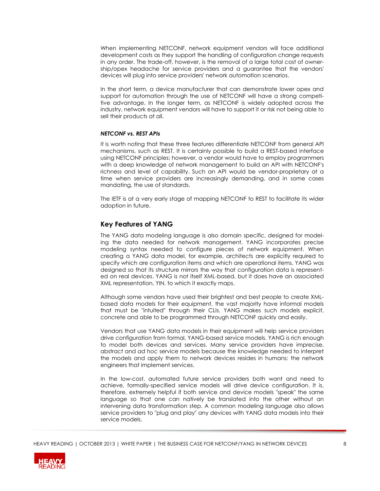When implementing NETCONF, network equipment vendors will face additional development costs as they support the handling of configuration change requests in any order. The trade-off, however, is the removal of a large total cost of ownership/opex headache for service providers and a guarantee that the vendors' devices will plug into service providers' network automation scenarios.

In the short term, a device manufacturer that can demonstrate lower opex and support for automation through the use of NETCONF will have a strong competitive advantage. In the longer term, as NETCONF is widely adopted across the industry, network equipment vendors will have to support it or risk not being able to sell their products at all.

#### *NETCONF vs. REST APIs*

It is worth noting that these three features differentiate NETCONF from general API mechanisms, such as REST. It is certainly possible to build a REST-based interface using NETCONF principles; however, a vendor would have to employ programmers with a deep knowledge of network management to build an API with NETCONF's richness and level of capability. Such an API would be vendor-proprietary at a time when service providers are increasingly demanding, and in some cases mandating, the use of standards.

The IETF is at a very early stage of mapping NETCONF to REST to facilitate its wider adoption in future.

### **Key Features of YANG**

The YANG data modeling language is also domain specific, designed for modeling the data needed for network management. YANG incorporates precise modeling syntax needed to configure pieces of network equipment. When creating a YANG data model, for example, architects are explicitly required to specify which are configuration items and which are operational items. YANG was designed so that its structure mirrors the way that configuration data is represented on real devices. YANG is not itself XML-based, but it does have an associated XML representation, YIN, to which it exactly maps.

Although some vendors have used their brightest and best people to create XMLbased data models for their equipment, the vast majority have informal models that must be "intuited" through their CLIs. YANG makes such models explicit, concrete and able to be programmed through NETCONF quickly and easily.

Vendors that use YANG data models in their equipment will help service providers drive configuration from formal, YANG-based service models. YANG is rich enough to model both devices and services. Many service providers have imprecise, abstract and *ad hoc* service models because the knowledge needed to interpret the models and apply them to network devices resides in humans: the network engineers that implement services.

In the low-cost, automated future service providers both want and need to achieve, formally-specified service models will drive device configuration. It is, therefore, extremely helpful if both service and device models "speak" the same language so that one can natively be translated into the other without an intervening data transformation step. A common modeling language also allows service providers to "plug and play" any devices with YANG data models into their service models.

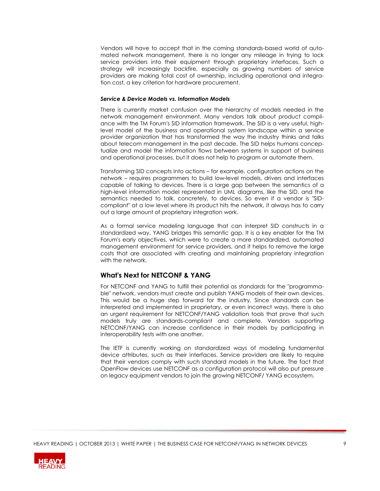Vendors will have to accept that in the coming standards-based world of automated network management, there is no longer any mileage in trying to lock service providers into their equipment through proprietary interfaces. Such a strategy will increasingly backfire, especially as growing numbers of service providers are making total cost of ownership, including operational and integration cost, a key criterion for hardware procurement.

### *Service & Device Models vs. Information Models*

There is currently market confusion over the hierarchy of models needed in the network management environment. Many vendors talk about product compliance with the TM Forum's SID information framework. The SID is a very useful, highlevel model of the business and operational system landscape within a service provider organization that has transformed the way the industry thinks and talks about telecom management in the past decade. The SID helps humans conceptualize and model the information flows between systems in support of business and operational processes, but it does not help to program or automate them.

Transforming SID concepts into actions – for example, configuration actions on the network – requires programmers to build low-level models, drivers and interfaces capable of talking to devices. There is a large gap between the semantics of a high-level information model represented in UML diagrams, like the SID, and the semantics needed to talk, concretely, to devices. So even if a vendor is "SIDcompliant" at a low level where its product hits the network, it always has to carry out a large amount of proprietary integration work.

As a formal service modeling language that can interpret SID constructs in a standardized way, YANG bridges this semantic gap. It is a key enabler for the TM Forum's early objectives, which were to create a more standardized, automated management environment for service providers, and it helps to remove the large costs that are associated with creating and maintaining proprietary integration with the network.

## **What's Next for NETCONF & YANG**

For NETCONF and YANG to fulfill their potential as standards for the "programmable" network, vendors must create and publish YANG models of their own devices. This would be a huge step forward for the industry. Since standards can be interpreted and implemented in proprietary, or even incorrect ways, there is also an urgent requirement for NETCONF/YANG validation tools that prove that such models truly are standards-compliant and complete. Vendors supporting NETCONF/YANG can increase confidence in their models by participating in interoperability tests with one another.

The IETF is currently working on standardized ways of modeling fundamental device attributes, such as their interfaces. Service providers are likely to require that their vendors comply with such standard models in the future. The fact that OpenFlow devices use NETCONF as a configuration protocol will also put pressure on legacy equipment vendors to join the growing NETCONF/ YANG ecosystem.

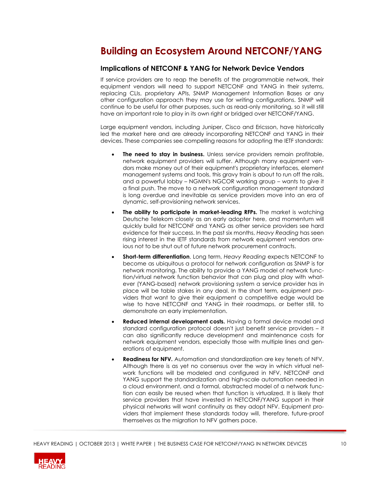## **Building an Ecosystem Around NETCONF/YANG**

### **Implications of NETCONF & YANG for Network Device Vendors**

If service providers are to reap the benefits of the programmable network, their equipment vendors will need to support NETCONF and YANG in their systems, replacing CLIs, proprietary APIs, SNMP Management Information Bases or any other configuration approach they may use for writing configurations. SNMP will continue to be useful for other purposes, such as read-only monitoring, so it will still have an important role to play in its own right or bridged over NETCONF/YANG.

Large equipment vendors, including Juniper, Cisco and Ericsson, have historically led the market here and are already incorporating NETCONF and YANG in their devices. These companies see compelling reasons for adopting the IETF standards:

- **The need to stay in business.** Unless service providers remain profitable, network equipment providers will suffer. Although many equipment vendors make money out of their equipment's proprietary interfaces, element management systems and tools, this gravy train is about to run off the rails, and a powerful lobby – NGMN's NGCOR working group – wants to give it a final push. The move to a network configuration management standard is long overdue and inevitable as service providers move into an era of dynamic, self-provisioning network services.
- **The ability to participate in market-leading RFPs.** The market is watching Deutsche Telekom closely as an early adopter here, and momentum will quickly build for NETCONF and YANG as other service providers see hard evidence for their success. In the past six months, *Heavy Reading* has seen rising interest in the IETF standards from network equipment vendors anxious not to be shut out of future network procurement contracts.
- **Short-term differentiation**. Long term, *Heavy Reading* expects NETCONF to become as ubiquitous a protocol for network configuration as SNMP is for network monitoring. The ability to provide a YANG model of network function/virtual network function behavior that can plug and play with whatever (YANG-based) network provisioning system a service provider has in place will be table stakes in any deal. In the short term, equipment providers that want to give their equipment a competitive edge would be wise to have NETCONF and YANG in their roadmaps, or better still, to demonstrate an early implementation.
- **Reduced internal development costs.** Having a formal device model and standard configuration protocol doesn't just benefit service providers – it can also significantly reduce development and maintenance costs for network equipment vendors, especially those with multiple lines and generations of equipment.
- **Readiness for NFV.** Automation and standardization are key tenets of NFV. Although there is as yet no consensus over the way in which virtual network functions will be modeled and configured in NFV, NETCONF and YANG support the standardization and high-scale automation needed in a cloud environment, and a formal, abstracted model of a network function can easily be reused when that function is virtualized. It is likely that service providers that have invested in NETCONF/YANG support in their physical networks will want continuity as they adopt NFV. Equipment providers that implement these standards today will, therefore, future-proof themselves as the migration to NFV gathers pace.

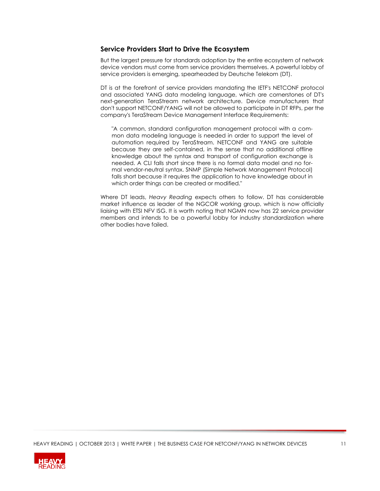### **Service Providers Start to Drive the Ecosystem**

But the largest pressure for standards adoption by the entire ecosystem of network device vendors must come from service providers themselves. A powerful lobby of service providers is emerging, spearheaded by Deutsche Telekom (DT).

DT is at the forefront of service providers mandating the IETF's NETCONF protocol and associated YANG data modeling language, which are cornerstones of DT's next-generation TeraStream network architecture. Device manufacturers that don't support NETCONF/YANG will not be allowed to participate in DT RFPs, per the company's TeraStream Device Management Interface Requirements:

"A common, standard configuration management protocol with a common data modeling language is needed in order to support the level of automation required by TeraStream. NETCONF and YANG are suitable because they are self-contained, in the sense that no additional offline knowledge about the syntax and transport of configuration exchange is needed. A CLI falls short since there is no formal data model and no formal vendor-neutral syntax. SNMP (Simple Network Management Protocol) falls short because it requires the application to have knowledge about in which order things can be created or modified."

Where DT leads, *Heavy Reading* expects others to follow. DT has considerable market influence as leader of the NGCOR working group, which is now officially liaising with ETSI NFV ISG. It is worth noting that NGMN now has 22 service provider members and intends to be a powerful lobby for industry standardization where other bodies have failed.

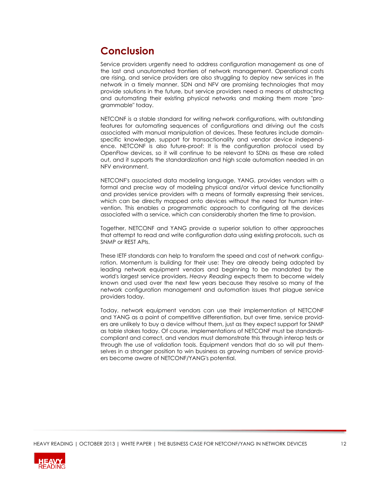# **Conclusion**

Service providers urgently need to address configuration management as one of the last and unautomated frontiers of network management. Operational costs are rising, and service providers are also struggling to deploy new services in the network in a timely manner. SDN and NFV are promising technologies that may provide solutions in the future, but service providers need a means of abstracting and automating their existing physical networks and making them more "programmable" today.

NETCONF is a stable standard for writing network configurations, with outstanding features for automating sequences of configurations and driving out the costs associated with manual manipulation of devices. These features include domainspecific knowledge, support for transactionality and vendor device independence. NETCONF is also future-proof: It is the configuration protocol used by OpenFlow devices, so it will continue to be relevant to SDNs as these are rolled out, and it supports the standardization and high scale automation needed in an NFV environment.

NETCONF's associated data modeling language, YANG, provides vendors with a formal and precise way of modeling physical and/or virtual device functionality and provides service providers with a means of formally expressing their services, which can be directly mapped onto devices without the need for human intervention. This enables a programmatic approach to configuring all the devices associated with a service, which can considerably shorten the time to provision.

Together, NETCONF and YANG provide a superior solution to other approaches that attempt to read and write configuration data using existing protocols, such as SNMP or REST APIs.

These IETF standards can help to transform the speed and cost of network configuration. Momentum is building for their use: They are already being adopted by leading network equipment vendors and beginning to be mandated by the world's largest service providers. *Heavy Reading* expects them to become widely known and used over the next few years because they resolve so many of the network configuration management and automation issues that plague service providers today.

Today, network equipment vendors can use their implementation of NETCONF and YANG as a point of competitive differentiation, but over time, service providers are unlikely to buy a device without them, just as they expect support for SNMP as table stakes today. Of course, implementations of NETCONF must be standardscompliant and correct, and vendors must demonstrate this through interop tests or through the use of validation tools. Equipment vendors that do so will put themselves in a stronger position to win business as growing numbers of service providers become aware of NETCONF/YANG's potential.